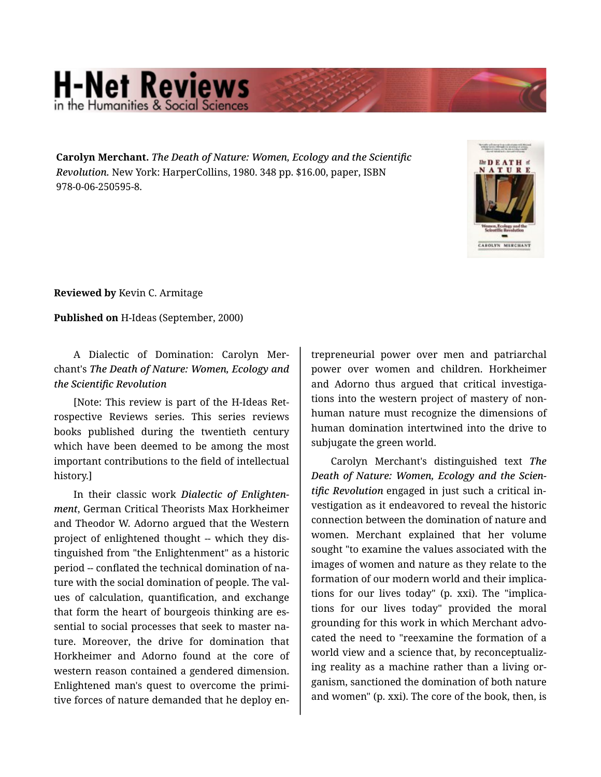## **H-Net Reviews** in the Humanities & Social S

**Carolyn Merchant.** *The Death of Nature: Women, Ecology and the Scientific Revolution.* New York: HarperCollins, 1980. 348 pp. \$16.00, paper, ISBN 978-0-06-250595-8.



**Reviewed by** Kevin C. Armitage

**Published on** H-Ideas (September, 2000)

## A Dialectic of Domination: Carolyn Mer‐ chant's *The Death of Nature: Women, Ecology and the Scientific Revolution*

[Note: This review is part of the H-Ideas Ret‐ rospective Reviews series. This series reviews books published during the twentieth century which have been deemed to be among the most important contributions to the field of intellectual history.]

In their classic work *Dialectic of Enlighten‐ ment*, German Critical Theorists Max Horkheimer and Theodor W. Adorno argued that the Western project of enlightened thought -- which they dis‐ tinguished from "the Enlightenment" as a historic period -- conflated the technical domination of na‐ ture with the social domination of people. The values of calculation, quantification, and exchange that form the heart of bourgeois thinking are es‐ sential to social processes that seek to master na‐ ture. Moreover, the drive for domination that Horkheimer and Adorno found at the core of western reason contained a gendered dimension. Enlightened man's quest to overcome the primi‐ tive forces of nature demanded that he deploy en‐

trepreneurial power over men and patriarchal power over women and children. Horkheimer and Adorno thus argued that critical investiga‐ tions into the western project of mastery of non‐ human nature must recognize the dimensions of human domination intertwined into the drive to subjugate the green world.

Carolyn Merchant's distinguished text *The Death of Nature: Women, Ecology and the Scien‐ tific Revolution* engaged in just such a critical in‐ vestigation as it endeavored to reveal the historic connection between the domination of nature and women. Merchant explained that her volume sought "to examine the values associated with the images of women and nature as they relate to the formation of our modern world and their implica‐ tions for our lives today" (p. xxi). The "implica‐ tions for our lives today" provided the moral grounding for this work in which Merchant advo‐ cated the need to "reexamine the formation of a world view and a science that, by reconceptualiz‐ ing reality as a machine rather than a living or‐ ganism, sanctioned the domination of both nature and women" (p. xxi). The core of the book, then, is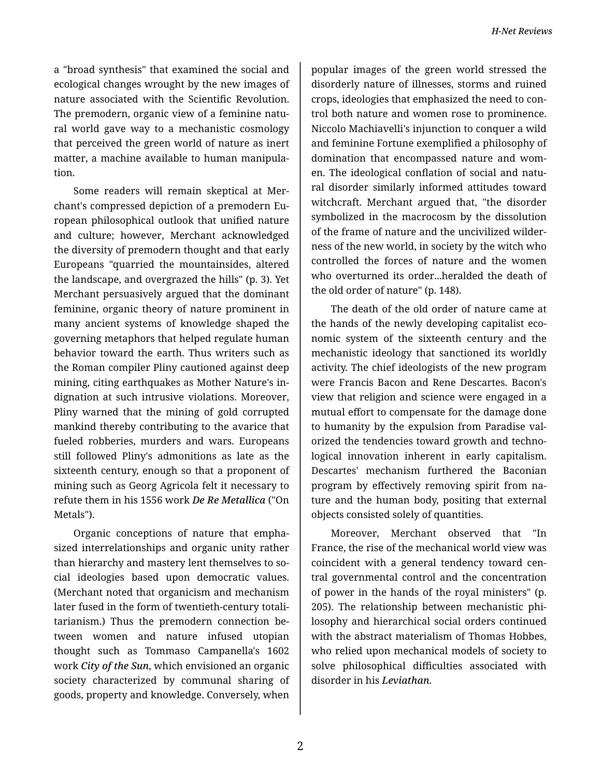a "broad synthesis" that examined the social and ecological changes wrought by the new images of nature associated with the Scientific Revolution. The premodern, organic view of a feminine natu‐ ral world gave way to a mechanistic cosmology that perceived the green world of nature as inert matter, a machine available to human manipula‐ tion.

Some readers will remain skeptical at Mer‐ chant's compressed depiction of a premodern Eu‐ ropean philosophical outlook that unified nature and culture; however, Merchant acknowledged the diversity of premodern thought and that early Europeans "quarried the mountainsides, altered the landscape, and overgrazed the hills" (p. 3). Yet Merchant persuasively argued that the dominant feminine, organic theory of nature prominent in many ancient systems of knowledge shaped the governing metaphors that helped regulate human behavior toward the earth. Thus writers such as the Roman compiler Pliny cautioned against deep mining, citing earthquakes as Mother Nature's in‐ dignation at such intrusive violations. Moreover, Pliny warned that the mining of gold corrupted mankind thereby contributing to the avarice that fueled robberies, murders and wars. Europeans still followed Pliny's admonitions as late as the sixteenth century, enough so that a proponent of mining such as Georg Agricola felt it necessary to refute them in his 1556 work *De Re Metallica* ("On Metals").

Organic conceptions of nature that empha‐ sized interrelationships and organic unity rather than hierarchy and mastery lent themselves to so‐ cial ideologies based upon democratic values. (Merchant noted that organicism and mechanism later fused in the form of twentieth-century totali‐ tarianism.) Thus the premodern connection be‐ tween women and nature infused utopian thought such as Tommaso Campanella's 1602 work *City of the Sun*, which envisioned an organic society characterized by communal sharing of goods, property and knowledge. Conversely, when popular images of the green world stressed the disorderly nature of illnesses, storms and ruined crops, ideologies that emphasized the need to con‐ trol both nature and women rose to prominence. Niccolo Machiavelli's injunction to conquer a wild and feminine Fortune exemplified a philosophy of domination that encompassed nature and wom‐ en. The ideological conflation of social and natu‐ ral disorder similarly informed attitudes toward witchcraft. Merchant argued that, "the disorder symbolized in the macrocosm by the dissolution of the frame of nature and the uncivilized wilder‐ ness of the new world, in society by the witch who controlled the forces of nature and the women who overturned its order...heralded the death of the old order of nature" (p. 148).

The death of the old order of nature came at the hands of the newly developing capitalist eco‐ nomic system of the sixteenth century and the mechanistic ideology that sanctioned its worldly activity. The chief ideologists of the new program were Francis Bacon and Rene Descartes. Bacon's view that religion and science were engaged in a mutual effort to compensate for the damage done to humanity by the expulsion from Paradise val‐ orized the tendencies toward growth and techno‐ logical innovation inherent in early capitalism. Descartes' mechanism furthered the Baconian program by effectively removing spirit from na‐ ture and the human body, positing that external objects consisted solely of quantities.

Moreover, Merchant observed that "In France, the rise of the mechanical world view was coincident with a general tendency toward cen‐ tral governmental control and the concentration of power in the hands of the royal ministers" (p. 205). The relationship between mechanistic phi‐ losophy and hierarchical social orders continued with the abstract materialism of Thomas Hobbes, who relied upon mechanical models of society to solve philosophical difficulties associated with disorder in his *Leviathan*.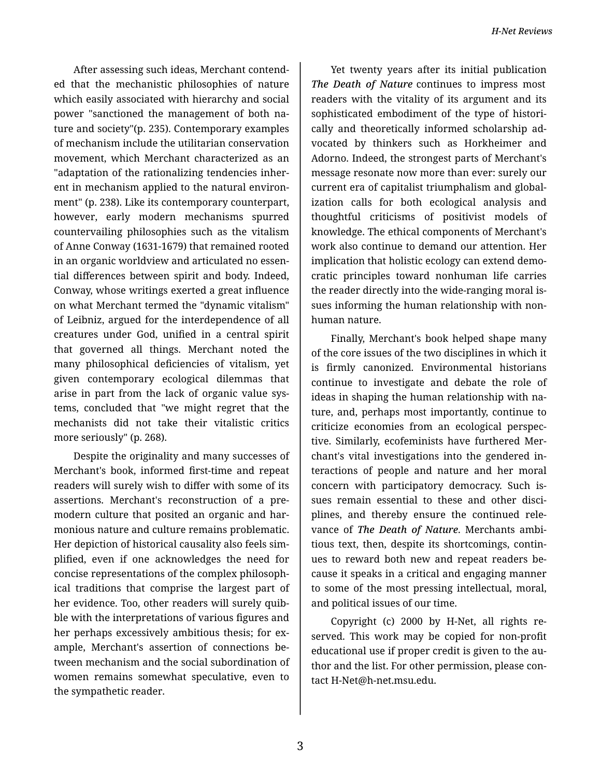After assessing such ideas, Merchant contend‐ ed that the mechanistic philosophies of nature which easily associated with hierarchy and social power "sanctioned the management of both na‐ ture and society"(p. 235). Contemporary examples of mechanism include the utilitarian conservation movement, which Merchant characterized as an "adaptation of the rationalizing tendencies inher‐ ent in mechanism applied to the natural environ‐ ment" (p. 238). Like its contemporary counterpart, however, early modern mechanisms spurred countervailing philosophies such as the vitalism of Anne Conway (1631-1679) that remained rooted in an organic worldview and articulated no essen‐ tial differences between spirit and body. Indeed, Conway, whose writings exerted a great influence on what Merchant termed the "dynamic vitalism" of Leibniz, argued for the interdependence of all creatures under God, unified in a central spirit that governed all things. Merchant noted the many philosophical deficiencies of vitalism, yet given contemporary ecological dilemmas that arise in part from the lack of organic value sys‐ tems, concluded that "we might regret that the mechanists did not take their vitalistic critics more seriously" (p. 268).

Despite the originality and many successes of Merchant's book, informed first-time and repeat readers will surely wish to differ with some of its assertions. Merchant's reconstruction of a pre‐ modern culture that posited an organic and har‐ monious nature and culture remains problematic. Her depiction of historical causality also feels sim‐ plified, even if one acknowledges the need for concise representations of the complex philosoph‐ ical traditions that comprise the largest part of her evidence. Too, other readers will surely quibble with the interpretations of various figures and her perhaps excessively ambitious thesis; for example, Merchant's assertion of connections be‐ tween mechanism and the social subordination of women remains somewhat speculative, even to the sympathetic reader.

Yet twenty years after its initial publication *The Death of Nature* continues to impress most readers with the vitality of its argument and its sophisticated embodiment of the type of histori‐ cally and theoretically informed scholarship ad‐ vocated by thinkers such as Horkheimer and Adorno. Indeed, the strongest parts of Merchant's message resonate now more than ever: surely our current era of capitalist triumphalism and global‐ ization calls for both ecological analysis and thoughtful criticisms of positivist models of knowledge. The ethical components of Merchant's work also continue to demand our attention. Her implication that holistic ecology can extend demo‐ cratic principles toward nonhuman life carries the reader directly into the wide-ranging moral is‐ sues informing the human relationship with non‐ human nature.

Finally, Merchant's book helped shape many of the core issues of the two disciplines in which it is firmly canonized. Environmental historians continue to investigate and debate the role of ideas in shaping the human relationship with na‐ ture, and, perhaps most importantly, continue to criticize economies from an ecological perspec‐ tive. Similarly, ecofeminists have furthered Mer‐ chant's vital investigations into the gendered in‐ teractions of people and nature and her moral concern with participatory democracy. Such is‐ sues remain essential to these and other disci‐ plines, and thereby ensure the continued rele‐ vance of *The Death of Nature*. Merchants ambi‐ tious text, then, despite its shortcomings, contin‐ ues to reward both new and repeat readers be‐ cause it speaks in a critical and engaging manner to some of the most pressing intellectual, moral, and political issues of our time.

Copyright (c) 2000 by H-Net, all rights re‐ served. This work may be copied for non-profit educational use if proper credit is given to the au‐ thor and the list. For other permission, please con‐ tact H-Net@h-net.msu.edu.